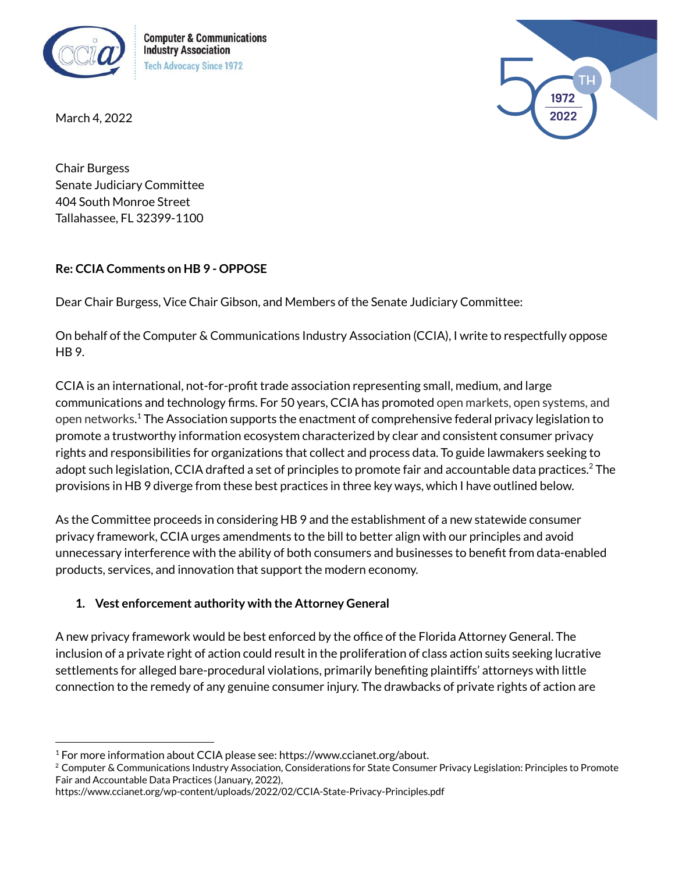

**Computer & Communications Industry Association Tech Advocacy Since 1972** 

March 4, 2022



Chair Burgess Senate Judiciary Committee 404 South Monroe Street Tallahassee, FL 32399-1100

## **Re: CCIA Comments on HB 9 - OPPOSE**

Dear Chair Burgess, Vice Chair Gibson, and Members of the Senate Judiciary Committee:

On behalf of the Computer & Communications Industry Association (CCIA), I write to respectfully oppose HB 9.

CCIA is an international, not-for-profit trade association representing small, medium, and large communications and technology firms. For 50 years, CCIA has promoted open markets, open systems, and open networks. <sup>1</sup> The Association supports the enactment of comprehensive federal privacy legislation to promote a trustworthy information ecosystem characterized by clear and consistent consumer privacy rights and responsibilities for organizations that collect and process data. To guide lawmakers seeking to adopt such legislation, CCIA drafted a set of principles to promote fair and accountable data practices. <sup>2</sup> The provisions in HB 9 diverge from these best practices in three key ways, which I have outlined below.

As the Committee proceeds in considering HB 9 and the establishment of a new statewide consumer privacy framework, CCIA urges amendments to the bill to better align with our principles and avoid unnecessary interference with the ability of both consumers and businesses to benefit from data-enabled products, services, and innovation that support the modern economy.

## **1. Vest enforcement authority with the Attorney General**

A new privacy framework would be best enforced by the office of the Florida Attorney General. The inclusion of a private right of action could result in the proliferation of class action suits seeking lucrative settlements for alleged bare-procedural violations, primarily benefiting plaintiffs' attorneys with little connection to the remedy of any genuine consumer injury. The drawbacks of private rights of action are

<sup>&</sup>lt;sup>1</sup> For more information about CCIA please see: https://www.ccianet.org/about.

<sup>&</sup>lt;sup>2</sup> Computer & Communications Industry Association, Considerations for State Consumer Privacy Legislation: Principles to Promote Fair and Accountable Data Practices (January, 2022),

https://www.ccianet.org/wp-content/uploads/2022/02/CCIA-State-Privacy-Principles.pdf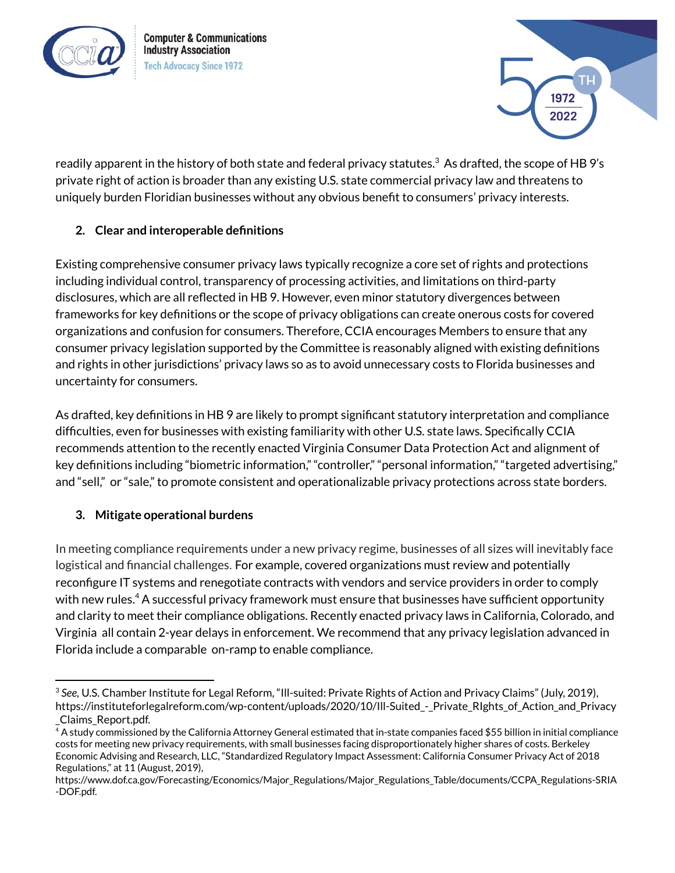



readily apparent in the history of both state and federal privacy statutes. $^3$  As drafted, the scope of HB 9's private right of action is broader than any existing U.S. state commercial privacy law and threatens to uniquely burden Floridian businesses without any obvious benefit to consumers' privacy interests.

## **2. Clear and interoperable definitions**

Existing comprehensive consumer privacy laws typically recognize a core set of rights and protections including individual control, transparency of processing activities, and limitations on third-party disclosures, which are all reflected in HB 9. However, even minor statutory divergences between frameworks for key definitions or the scope of privacy obligations can create onerous costs for covered organizations and confusion for consumers. Therefore, CCIA encourages Members to ensure that any consumer privacy legislation supported by the Committee is reasonably aligned with existing definitions and rights in other jurisdictions' privacy laws so as to avoid unnecessary costs to Florida businesses and uncertainty for consumers.

As drafted, key definitions in HB 9 are likely to prompt significant statutory interpretation and compliance difficulties, even for businesses with existing familiarity with other U.S. state laws. Specifically CCIA recommends attention to the recently enacted Virginia Consumer Data Protection Act and alignment of key definitions including "biometric information," "controller," "personal information," "targeted advertising," and "sell," or "sale," to promote consistent and operationalizable privacy protections across state borders.

## **3. Mitigate operational burdens**

In meeting compliance requirements under a new privacy regime, businesses of all sizes will inevitably face logistical and financial challenges. For example, covered organizations must review and potentially reconfigure IT systems and renegotiate contracts with vendors and service providers in order to comply with new rules. <sup>4</sup> A successful privacy framework must ensure that businesses have sufficient opportunity and clarity to meet their compliance obligations. Recently enacted privacy laws in California, Colorado, and Virginia all contain 2-year delays in enforcement. We recommend that any privacy legislation advanced in Florida include a comparable on-ramp to enable compliance.

<sup>3</sup> *See,* U.S. Chamber Institute for Legal Reform, "Ill-suited: Private Rights of Action and Privacy Claims" (July, 2019), https://instituteforlegalreform.com/wp-content/uploads/2020/10/III-Suited - Private RIghts of Action and Privacy \_Claims\_Report.pdf.

<sup>4</sup> A study commissioned by the California Attorney General estimated that in-state companies faced \$55 billion in initial compliance costs for meeting new privacy requirements, with small businesses facing disproportionately higher shares of costs. Berkeley Economic Advising and Research, LLC, "Standardized Regulatory Impact Assessment: California Consumer Privacy Act of 2018 Regulations," at 11 (August, 2019),

https://www.dof.ca.gov/Forecasting/Economics/Major\_Regulations/Major\_Regulations\_Table/documents/CCPA\_Regulations-SRIA -DOF.pdf.